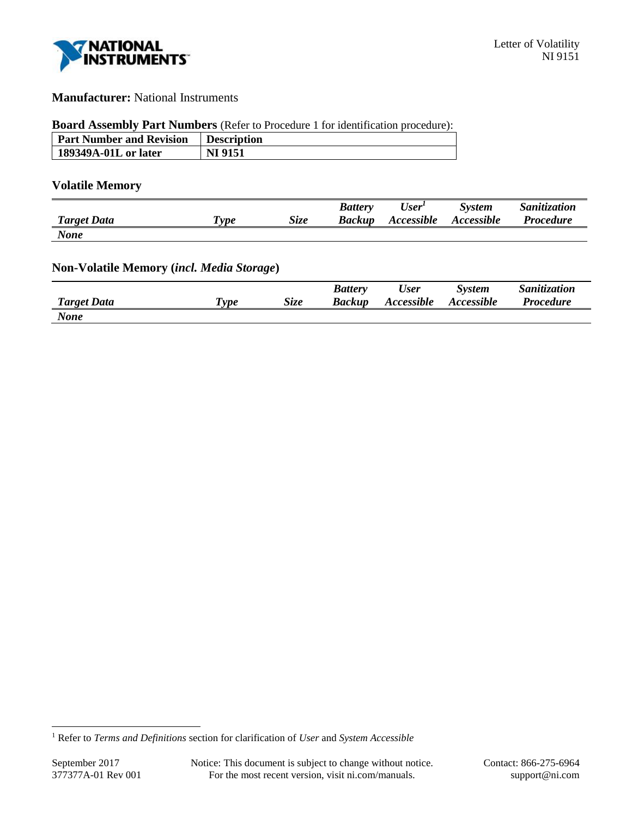

## **Manufacturer:** National Instruments

## **Board Assembly Part Numbers** (Refer to Procedure 1 for identification procedure):

| <b>Part Number and Revision</b> | Description    |
|---------------------------------|----------------|
| 189349A-01L or later            | <b>NI 9151</b> |

#### **Volatile Memory**

|                    |            |             | <b>Battery</b> | User <sup>1</sup> | <b>System</b> | Sanitization     |
|--------------------|------------|-------------|----------------|-------------------|---------------|------------------|
| <b>Target Data</b> | <i>vpe</i> | <b>Size</b> | <b>Backup</b>  | Accessible        | Accessible    | <b>Procedure</b> |
| <b>None</b>        |            |             |                |                   |               |                  |

## **Non-Volatile Memory (***incl. Media Storage***)**

|                    |                           |      | <b>Battery</b> | User       | <i>System</i>     | Sanitization     |
|--------------------|---------------------------|------|----------------|------------|-------------------|------------------|
| <b>Target Data</b> | $\boldsymbol{\tau_{vpe}}$ | Size | Backup         | Accessible | <b>Accessible</b> | <b>Procedure</b> |
| <b>None</b>        |                           |      |                |            |                   |                  |

l

<sup>1</sup> Refer to *Terms and Definitions* section for clarification of *User* and *System Accessible*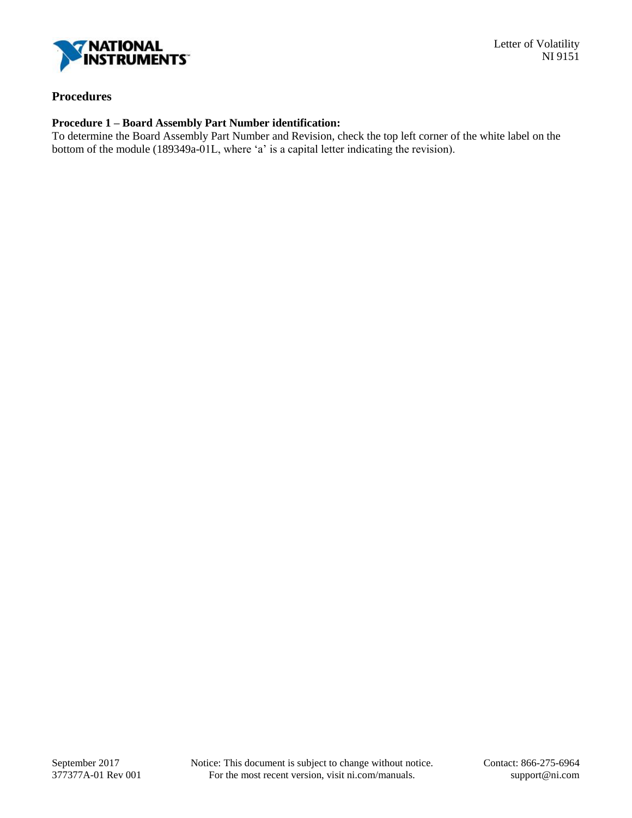

# **Procedures**

### **Procedure 1 – Board Assembly Part Number identification:**

To determine the Board Assembly Part Number and Revision, check the top left corner of the white label on the bottom of the module (189349a-01L, where 'a' is a capital letter indicating the revision).